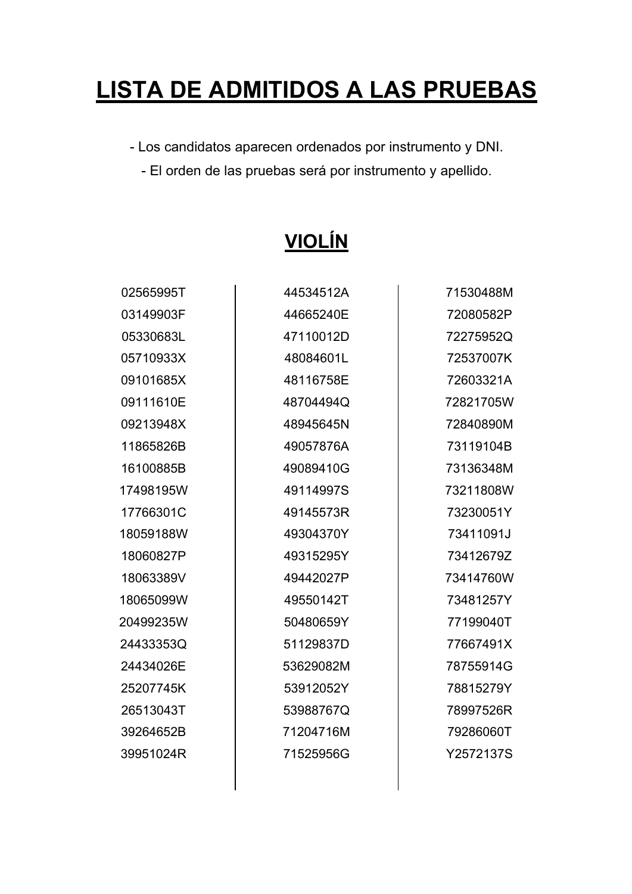# **LISTA DE ADMITIDOS A LAS PRUEBAS**

- Los candidatos aparecen ordenados por instrumento y DNI.

- El orden de las pruebas será por instrumento y apellido.

| 02565995T | 44534512A | 71530488M |
|-----------|-----------|-----------|
| 03149903F | 44665240E | 72080582P |
| 05330683L | 47110012D | 72275952Q |
| 05710933X | 48084601L | 72537007K |
| 09101685X | 48116758E | 72603321A |
| 09111610E | 48704494Q | 72821705W |
| 09213948X | 48945645N | 72840890M |
| 11865826B | 49057876A | 73119104B |
| 16100885B | 49089410G | 73136348M |
| 17498195W | 49114997S | 73211808W |
| 17766301C | 49145573R | 73230051Y |
| 18059188W | 49304370Y | 73411091J |
| 18060827P | 49315295Y | 73412679Z |
| 18063389V | 49442027P | 73414760W |
| 18065099W | 49550142T | 73481257Y |
| 20499235W | 50480659Y | 77199040T |
| 24433353Q | 51129837D | 77667491X |
| 24434026E | 53629082M | 78755914G |
| 25207745K | 53912052Y | 78815279Y |
| 26513043T | 53988767Q | 78997526R |
| 39264652B | 71204716M | 79286060T |
| 39951024R | 71525956G | Y2572137S |

# **VIOLÍN**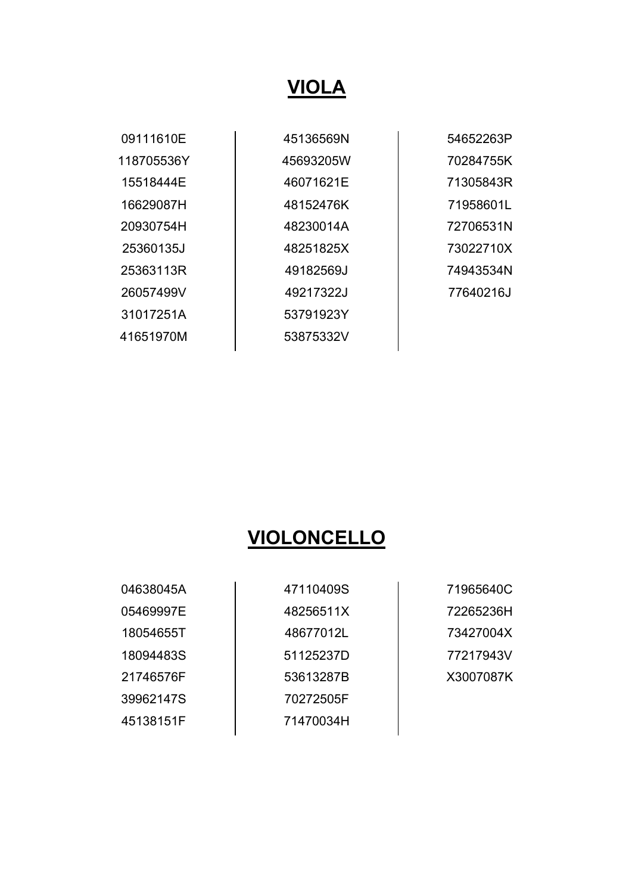#### **VIOLA**

09111610E 118705536Y 15518444E 16629087H 20930754H 25360135J 25363113R 26057499V 31017251A 41651970M

45136569N 45693205W 46071621E 48152476K 48230014A 48251825X 49182569J 49217322J 53791923Y 53875332V

54652263P 70284755K 71305843R 71958601L 72706531N 73022710X 74943534N 77640216J

#### **VIOLONCELLO**

04638045A 05469997E 18054655T 18094483S 21746576F 39962147S 45138151F

47110409S 48256511X 48677012L 51125237D 53613287B 70272505F 71470034H

71965640C 72265236H 73427004X 77217943V X3007087K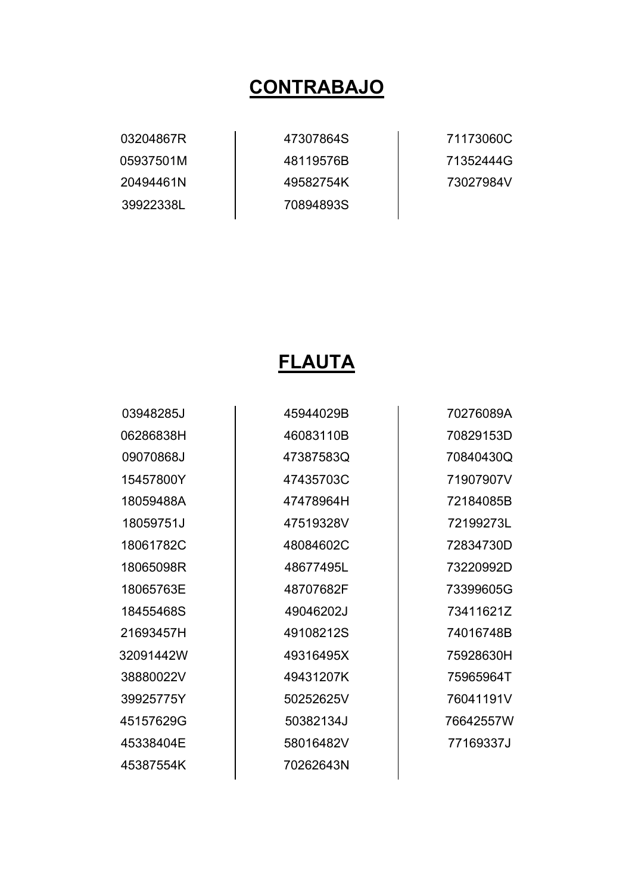#### **CONTRABAJO**

03204867R 05937501M 20494461N 39922338L

47307864S 48119576B 49582754K 70894893S

71173060C 71352444G 73027984V

#### **FLAUTA**

03948285J 06286838H 09070868J 15457800Y 18059488A 18059751J 18061782C 18065098R 18065763E 18455468S 21693457H 32091442W 38880022V 39925775Y 45157629G 45338404E 45387554K

45944029B 46083110B 47387583Q 47435703C 47478964H 47519328V 48084602C 48677495L 48707682F 49046202J 49108212S 49316495X 49431207K 50252625V 50382134J 58016482V 70262643N

70276089A 70829153D 70840430Q 71907907V 72184085B 72199273L 72834730D 73220992D 73399605G 73411621Z 74016748B 75928630H 75965964T 76041191V 76642557W 77169337J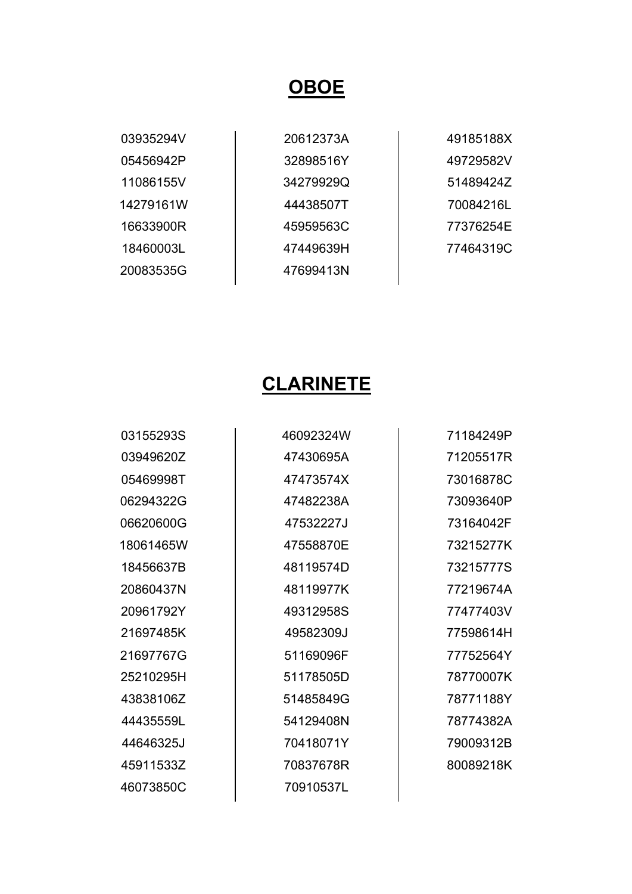#### **OBOE**

| 03935294V |
|-----------|
| 05456942P |
| 11086155V |
| 14279161W |
| 16633900R |
| 184600031 |
| 20083535G |

20612373A 32898516Y 34279929Q 44438507T 45959563C 47449639H 47699413N

49185188X 49729582V 51489424Z 70084216L 77376254E 77464319C

### **CLARINETE**

03155293S 03949620Z 05469998T 06294322G 06620600G 18061465W 18456637B 20860437N 20961792Y 21697485K 21697767G 25210295H 43838106Z 44435559L 44646325J 45911533Z 46073850C

46092324W 47430695A 47473574X 47482238A 47532227J 47558870E 48119574D 48119977K 49312958S 49582309J 51169096F 51178505D 51485849G 54129408N 70418071Y 70837678R 70910537L

71184249P 71205517R 73016878C 73093640P 73164042F 73215277K 73215777S 77219674A 77477403V 77598614H 77752564Y 78770007K 78771188Y 78774382A 79009312B 80089218K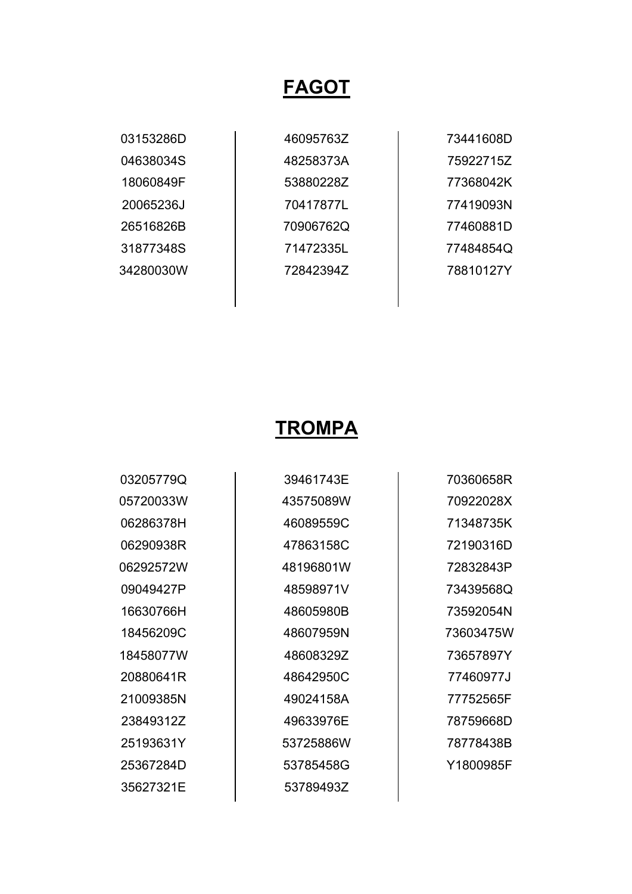#### **FAGOT**

03153286D 04638034S 18060849F 20065236J 26516826B 31877348S 34280030W

46095763Z 48258373A 53880228Z 70417877L 70906762Q 71472335L 72842394Z

73441608D 75922715Z 77368042K 77419093N 77460881D 77484854Q 78810127Y

#### **TROMPA**

03205779Q 05720033W 06286378H 06290938R 06292572W 09049427P 16630766H 18456209C 18458077W 20880641R 21009385N 23849312Z 25193631Y 25367284D 35627321E

39461743E 43575089W 46089559C 47863158C 48196801W 48598971V 48605980B 48607959N 48608329Z 48642950C 49024158A 49633976E 53725886W 53785458G 53789493Z

70360658R 70922028X 71348735K 72190316D 72832843P 73439568Q 73592054N 73603475W 73657897Y 77460977J 77752565F 78759668D 78778438B Y1800985F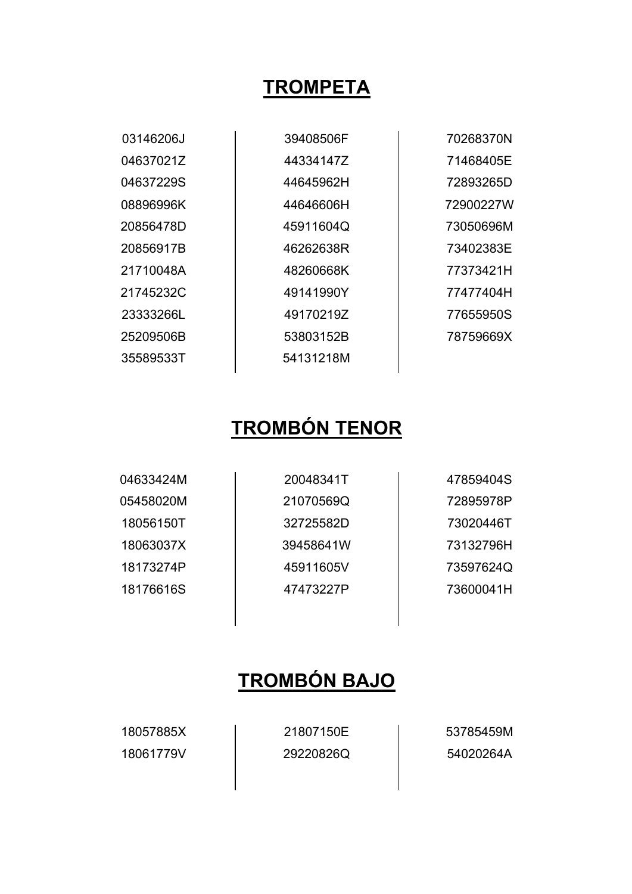### **TROMPETA**

| 03146206J | 39408506F | 70268370N |
|-----------|-----------|-----------|
| 04637021Z | 44334147Z | 71468405E |
| 04637229S | 44645962H | 72893265D |
| 08896996K | 44646606H | 72900227W |
| 20856478D | 45911604Q | 73050696M |
| 20856917B | 46262638R | 73402383E |
| 21710048A | 48260668K | 77373421H |
| 21745232C | 49141990Y | 77477404H |
| 23333266L | 49170219Z | 77655950S |
| 25209506B | 53803152B | 78759669X |
| 35589533T | 54131218M |           |
|           |           |           |

# **TROMBÓN TENOR**

| 04633424M | 20048341T | 47859404S |
|-----------|-----------|-----------|
| 05458020M | 21070569Q | 72895978P |
| 18056150T | 32725582D | 73020446T |
| 18063037X | 39458641W | 73132796H |
| 18173274P | 45911605V | 73597624Q |
| 18176616S | 47473227P | 73600041H |
|           |           |           |

# **TROMBÓN BAJO**

18057885X 18061779V 21807150E 29220826Q 53785459M 54020264A